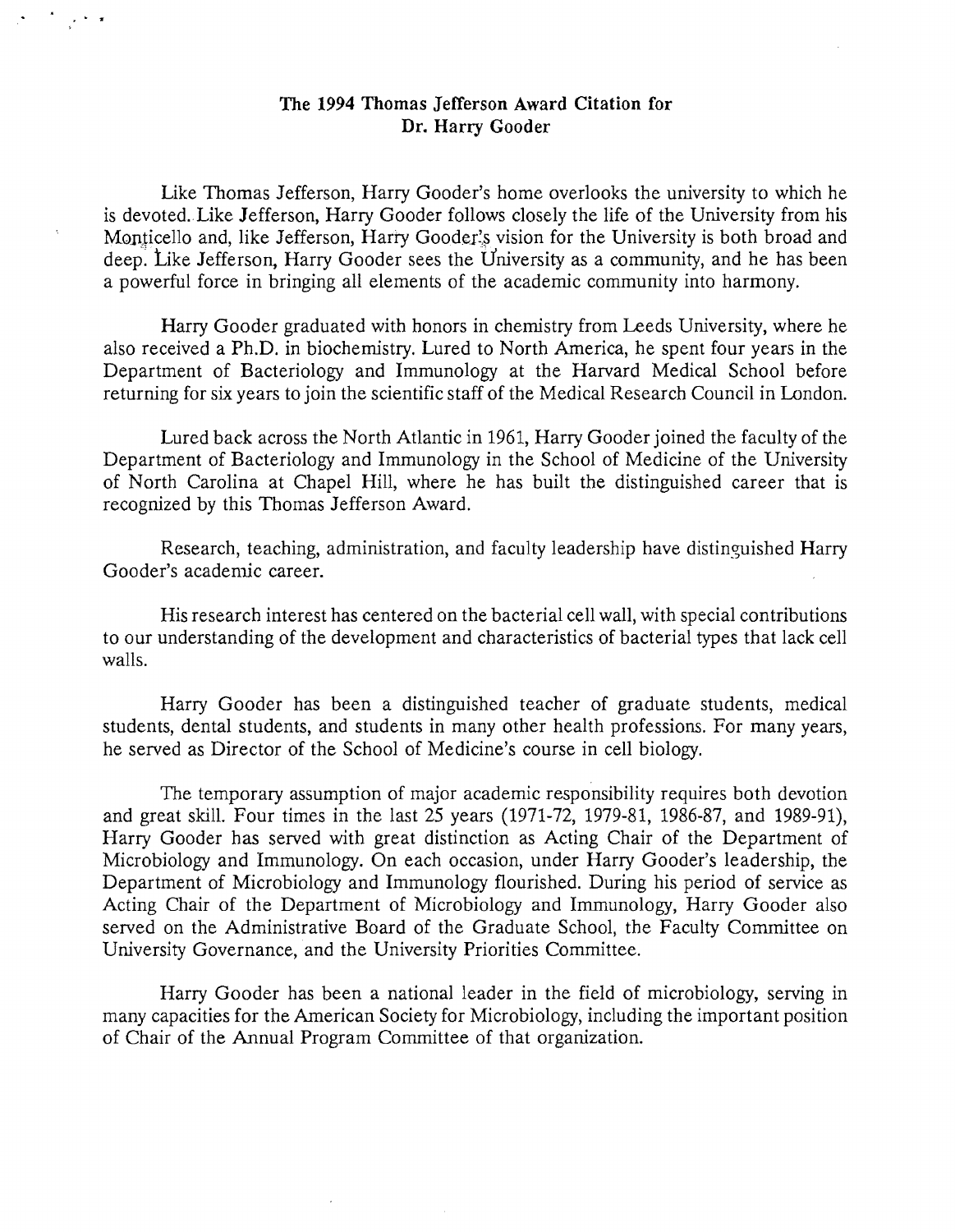## The 1994 Thomas Jefferson Award Citation for Dr. Harry Gooder

Like Thomas Jefferson, Harry Gooder's home overlooks the university to which he is devoted.. Like Jefferson, Harry Gooder follows closely the life of the University from his Monticello and, like Jefferson, Harry Gooder's vision for the University is both broad and deep: Like Jefferson, Harry Gooder sees the University as a community, and he has been a powerful force in bringing all elements of the academic community into harmony.

Harry Gooder graduated with honors in chemistry from Leeds University, where he also received a Ph.D. in biochemistry. Lured to North America, he spent four years in the Department of Bacteriology and Immunology at the Harvard Medical School before returning for six years to join the scientific staff of the Medical Research Council in London.

Lured back across the North Atlantic in 1961, Harry Gooder joined the faculty of the Department of Bacteriology and Immunology in the School of Medicine of the University of North Carolina at Chapel Hill, where he has built the distinguished career that is recognized by this Thomas Jefferson Award.

Research, teaching, administration, and faculty leadership have distinguished Harry Gooder's academic career.

His research interest has centered on the bacterial cell wall, with special contributions to our understanding of the development and characteristics of bacterial types that lack cell walls.

Harry Gooder has been a distinguished teacher of graduate students, medical students, dental students, and students in many other health professions. For many years, he served as Director of the School of Medicine's course in cell biology.

The temporary assumption of major academic responsibility requires both devotion and great skill. Four times in the last 25 years (1971-72, 1979-81, 1986-87, and 1989-91), Harry Gooder has served with great distinction as Acting Chair of the Department of Microbiology and Immunology. On each occasion, under Harry Gooder's leadership, the Department of Microbiology and Immunology flourished. During his period of service as Acting Chair of the Department of Microbiology and Immunology, Harry Gooder also served on the Administrative Board of the Graduate School, the Faculty Committee on University Governance, and the University Priorities Committee.

Harry Gooder has been a national leader in the field of microbiology, serving in many capacities for the American Society for Microbiology, including the important position of Chair of the Annual Program Committee of that organization.